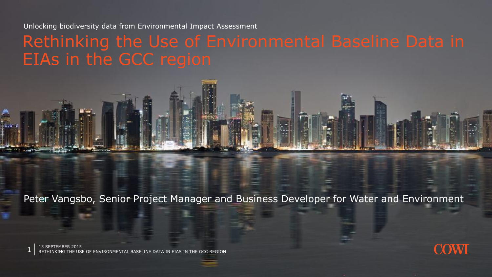#### Rethinking the Use of Environmental Baseline Data in EIAs in the GCC region



 $1\;\mid\;$  15 SEPTEMBER 2015<br>1 RETHINKING THE USE OF ENVIRONMENTAL BASELINE DATA IN EIAS IN THE GCC REGION

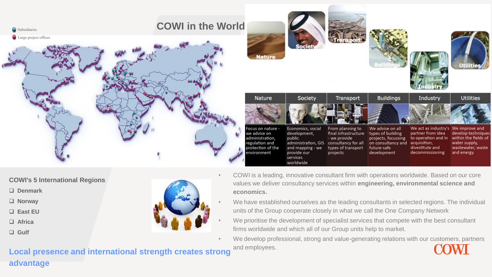

- **COWI's 5 International Regions**
- **Denmark**
- **Norway**
- **East EU**
- **Africa**
- **Gulf**



- COWI is a leading, innovative consultant firm with operations worldwide. Based on our core values we deliver consultancy services within **engineering, environmental science and economics.**
	- We have established ourselves as the leading consultants in selected regions. The individual units of the Group cooperate closely in what we call the One Company Network
	- We prioritise the development of specialist services that compete with the best consultant firms worldwide and which all of our Group units help to market.
- We develop professional, strong and value-generating relations with our customers, partners and employees.

**Local presence and international strength creates strong advantage**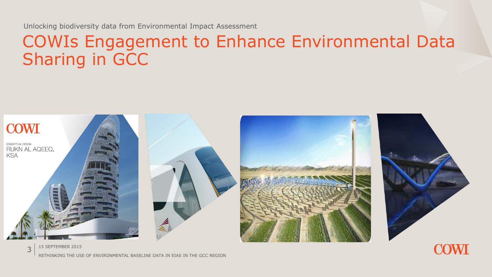#### COWIs Engagement to Enhance Environmental Data Sharing in GCC



15 SEPTEMBER 2015 RETHINKING THE USE OF ENVIRONMENTAL BASELINE DATA IN EIAS IN THE GCC REGION

3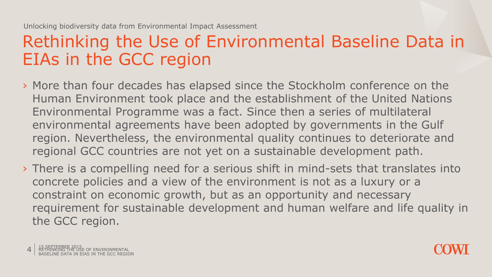#### Rethinking the Use of Environmental Baseline Data in EIAs in the GCC region

- › More than four decades has elapsed since the Stockholm conference on the Human Environment took place and the establishment of the United Nations Environmental Programme was a fact. Since then a series of multilateral environmental agreements have been adopted by governments in the Gulf region. Nevertheless, the environmental quality continues to deteriorate and regional GCC countries are not yet on a sustainable development path.
- › There is a compelling need for a serious shift in mind-sets that translates into concrete policies and a view of the environment is not as a luxury or a constraint on economic growth, but as an opportunity and necessary requirement for sustainable development and human welfare and life quality in the GCC region.

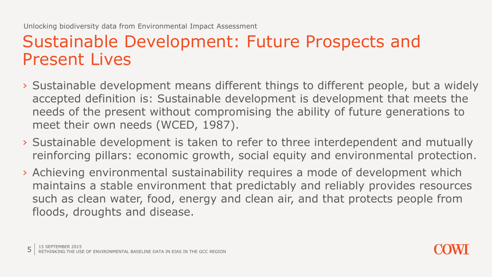### Sustainable Development: Future Prospects and Present Lives

- › Sustainable development means different things to different people, but a widely accepted definition is: Sustainable development is development that meets the needs of the present without compromising the ability of future generations to meet their own needs (WCED, 1987).
- › Sustainable development is taken to refer to three interdependent and mutually reinforcing pillars: economic growth, social equity and environmental protection.
- › Achieving environmental sustainability requires a mode of development which maintains a stable environment that predictably and reliably provides resources such as clean water, food, energy and clean air, and that protects people from floods, droughts and disease.

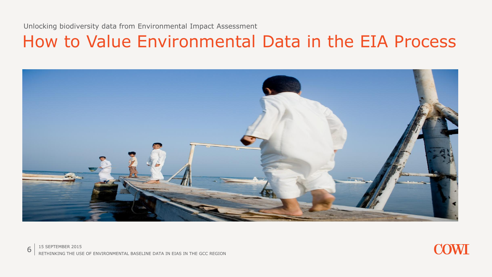#### How to Value Environmental Data in the EIA Process



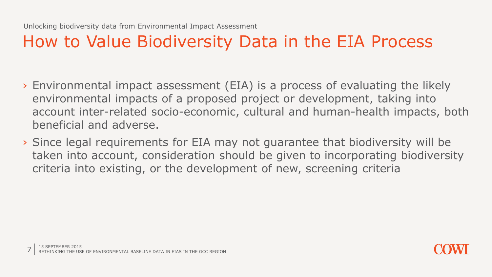# How to Value Biodiversity Data in the EIA Process

- › Environmental impact assessment (EIA) is a process of evaluating the likely environmental impacts of a proposed project or development, taking into account inter-related socio-economic, cultural and human-health impacts, both beneficial and adverse.
- › Since legal requirements for EIA may not guarantee that biodiversity will be taken into account, consideration should be given to incorporating biodiversity criteria into existing, or the development of new, screening criteria

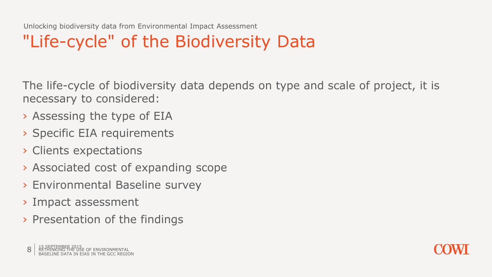# "Life-cycle" of the Biodiversity Data

The life-cycle of biodiversity data depends on type and scale of project, it is necessary to considered:

- › Assessing the type of EIA
- › Specific EIA requirements
- › Clients expectations
- › Associated cost of expanding scope
- › Environmental Baseline survey
- › Impact assessment
- › Presentation of the findings

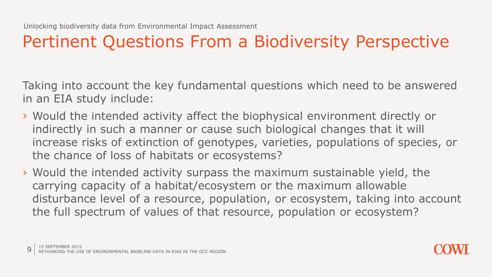### Pertinent Questions From a Biodiversity Perspective

Taking into account the key fundamental questions which need to be answered in an EIA study include:

- › Would the intended activity affect the biophysical environment directly or indirectly in such a manner or cause such biological changes that it will increase risks of extinction of genotypes, varieties, populations of species, or the chance of loss of habitats or ecosystems?
- › Would the intended activity surpass the maximum sustainable yield, the carrying capacity of a habitat/ecosystem or the maximum allowable disturbance level of a resource, population, or ecosystem, taking into account the full spectrum of values of that resource, population or ecosystem?

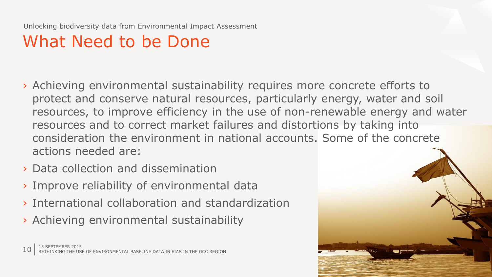# What Need to be Done

- › Achieving environmental sustainability requires more concrete efforts to protect and conserve natural resources, particularly energy, water and soil resources, to improve efficiency in the use of non-renewable energy and water resources and to correct market failures and distortions by taking into consideration the environment in national accounts. Some of the concrete actions needed are:
- › Data collection and dissemination
- › Improve reliability of environmental data
- › International collaboration and standardization
- › Achieving environmental sustainability

 $\left.10\right.\vert$  15 SEPTEMBER 2015 10 B ENVIRONMENTAL BASELINE DATA IN EIAS IN THE GCC REGION

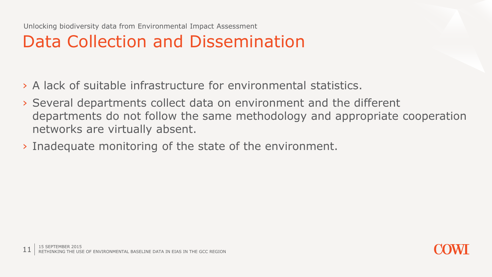# Data Collection and Dissemination

- › A lack of suitable infrastructure for environmental statistics.
- › Several departments collect data on environment and the different departments do not follow the same methodology and appropriate cooperation networks are virtually absent.
- › Inadequate monitoring of the state of the environment.

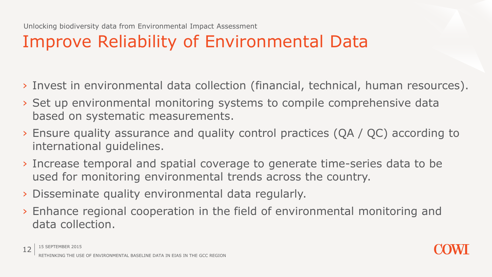# Improve Reliability of Environmental Data

- › Invest in environmental data collection (financial, technical, human resources).
- › Set up environmental monitoring systems to compile comprehensive data based on systematic measurements.
- › Ensure quality assurance and quality control practices (QA / QC) according to international guidelines.
- › Increase temporal and spatial coverage to generate time-series data to be used for monitoring environmental trends across the country.
- › Disseminate quality environmental data regularly.
- › Enhance regional cooperation in the field of environmental monitoring and data collection.

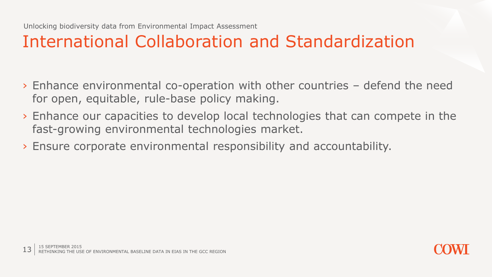### International Collaboration and Standardization

- › Enhance environmental co-operation with other countries defend the need for open, equitable, rule-base policy making.
- › Enhance our capacities to develop local technologies that can compete in the fast-growing environmental technologies market.
- › Ensure corporate environmental responsibility and accountability.

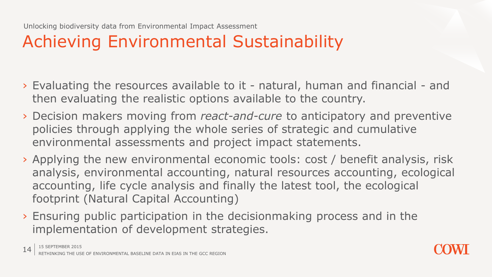# Achieving Environmental Sustainability

- › Evaluating the resources available to it natural, human and financial and then evaluating the realistic options available to the country.
- › Decision makers moving from *react-and-cure* to anticipatory and preventive policies through applying the whole series of strategic and cumulative environmental assessments and project impact statements.
- › Applying the new environmental economic tools: cost / benefit analysis, risk analysis, environmental accounting, natural resources accounting, ecological accounting, life cycle analysis and finally the latest tool, the ecological footprint (Natural Capital Accounting)
- › Ensuring public participation in the decisionmaking process and in the implementation of development strategies.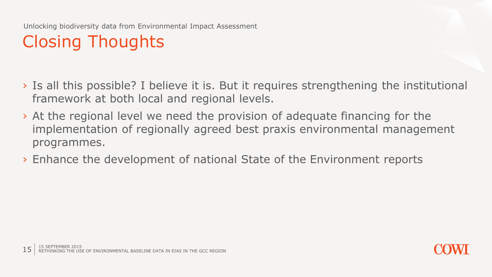# Closing Thoughts

- › Is all this possible? I believe it is. But it requires strengthening the institutional framework at both local and regional levels.
- › At the regional level we need the provision of adequate financing for the implementation of regionally agreed best praxis environmental management programmes.
- › Enhance the development of national State of the Environment reports